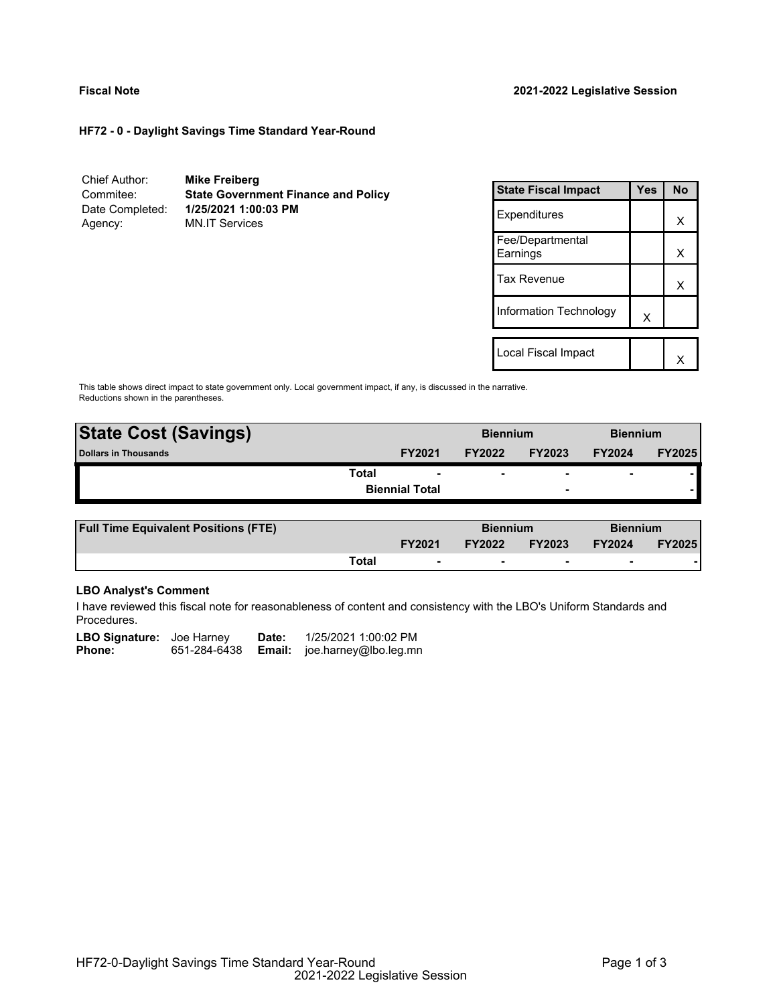# **HF72 - 0 - Daylight Savings Time Standard Year-Round**

| Chief Author:   | <b>Mike Freiberg</b>                       |
|-----------------|--------------------------------------------|
| Commitee:       | <b>State Government Finance and Policy</b> |
| Date Completed: | 1/25/2021 1:00:03 PM                       |
| Agency:         | <b>MN.IT Services</b>                      |

| <b>State Fiscal Impact</b>   | Yes | <b>No</b> |
|------------------------------|-----|-----------|
| Expenditures                 |     | x         |
| Fee/Departmental<br>Earnings |     | x         |
| <b>Tax Revenue</b>           |     | x         |
| Information Technology       | X   |           |
| Local Fiscal Impact          |     |           |

This table shows direct impact to state government only. Local government impact, if any, is discussed in the narrative. Reductions shown in the parentheses.

| <b>State Cost (Savings)</b> |                       | <b>Biennium</b> |                          | <b>Biennium</b>          |               |
|-----------------------------|-----------------------|-----------------|--------------------------|--------------------------|---------------|
| Dollars in Thousands        | <b>FY2021</b>         | <b>FY2022</b>   | <b>FY2023</b>            | <b>FY2024</b>            | <b>FY2025</b> |
| Total                       |                       |                 | $\overline{\phantom{0}}$ | $\overline{\phantom{0}}$ |               |
|                             | <b>Biennial Total</b> |                 | $\overline{\phantom{0}}$ |                          |               |
|                             |                       |                 |                          |                          |               |

| <b>Full Time Equivalent Positions (FTE)</b> |       |                          | <b>Biennium</b> |               | <b>Biennium</b> |               |
|---------------------------------------------|-------|--------------------------|-----------------|---------------|-----------------|---------------|
|                                             |       | <b>FY2021</b>            | <b>FY2022</b>   | <b>FY2023</b> | <b>FY2024</b>   | <b>FY2025</b> |
|                                             | Total | $\overline{\phantom{0}}$ |                 |               |                 |               |

# **LBO Analyst's Comment**

I have reviewed this fiscal note for reasonableness of content and consistency with the LBO's Uniform Standards and Procedures.

| <b>LBO Signature:</b> Joe Harney |              | Date: | 1/25/2021 1:00:02 PM                |
|----------------------------------|--------------|-------|-------------------------------------|
| <b>Phone:</b>                    | 651-284-6438 |       | <b>Email:</b> joe.harney@lbo.leg.mn |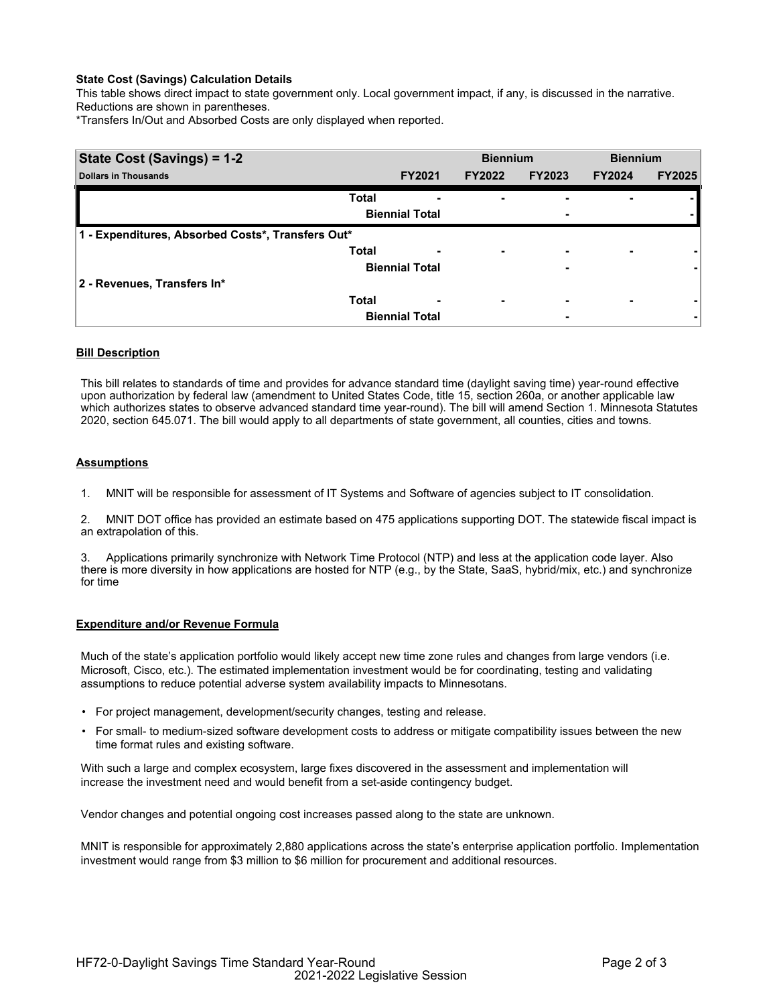# **State Cost (Savings) Calculation Details**

This table shows direct impact to state government only. Local government impact, if any, is discussed in the narrative. Reductions are shown in parentheses.

\*Transfers In/Out and Absorbed Costs are only displayed when reported.

| <b>State Cost (Savings) = 1-2</b>                 |              |                       | <b>Biennium</b>          |               | <b>Biennium</b>          |               |
|---------------------------------------------------|--------------|-----------------------|--------------------------|---------------|--------------------------|---------------|
| <b>Dollars in Thousands</b>                       |              | <b>FY2021</b>         | <b>FY2022</b>            | <b>FY2023</b> | <b>FY2024</b>            | <b>FY2025</b> |
|                                                   | <b>Total</b> |                       |                          | -             |                          |               |
|                                                   |              | <b>Biennial Total</b> |                          | -             |                          |               |
| 1 - Expenditures, Absorbed Costs*, Transfers Out* |              |                       |                          |               |                          |               |
|                                                   | <b>Total</b> | -                     | ٠                        | ۰             | $\overline{\phantom{0}}$ |               |
|                                                   |              | <b>Biennial Total</b> |                          | -             |                          |               |
| 2 - Revenues, Transfers In*                       |              |                       |                          |               |                          |               |
|                                                   | <b>Total</b> | -                     | $\overline{\phantom{0}}$ | -             | $\overline{\phantom{0}}$ |               |
|                                                   |              | <b>Biennial Total</b> |                          | -             |                          |               |

# **Bill Description**

This bill relates to standards of time and provides for advance standard time (daylight saving time) year-round effective upon authorization by federal law (amendment to United States Code, title 15, section 260a, or another applicable law which authorizes states to observe advanced standard time year-round). The bill will amend Section 1. Minnesota Statutes 2020, section 645.071. The bill would apply to all departments of state government, all counties, cities and towns.

### **Assumptions**

1. MNIT will be responsible for assessment of IT Systems and Software of agencies subject to IT consolidation.

2. MNIT DOT office has provided an estimate based on 475 applications supporting DOT. The statewide fiscal impact is an extrapolation of this.

3. Applications primarily synchronize with Network Time Protocol (NTP) and less at the application code layer. Also there is more diversity in how applications are hosted for NTP (e.g., by the State, SaaS, hybrid/mix, etc.) and synchronize for time

# **Expenditure and/or Revenue Formula**

Much of the state's application portfolio would likely accept new time zone rules and changes from large vendors (i.e. Microsoft, Cisco, etc.). The estimated implementation investment would be for coordinating, testing and validating assumptions to reduce potential adverse system availability impacts to Minnesotans.

- For project management, development/security changes, testing and release.
- For small- to medium-sized software development costs to address or mitigate compatibility issues between the new time format rules and existing software.

With such a large and complex ecosystem, large fixes discovered in the assessment and implementation will increase the investment need and would benefit from a set-aside contingency budget.

Vendor changes and potential ongoing cost increases passed along to the state are unknown.

MNIT is responsible for approximately 2,880 applications across the state's enterprise application portfolio. Implementation investment would range from \$3 million to \$6 million for procurement and additional resources.